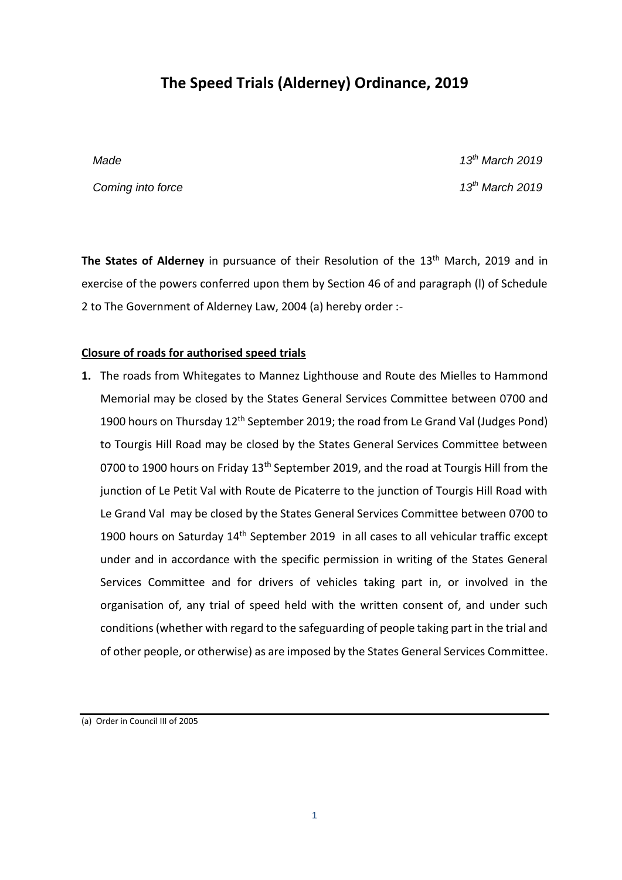# **The Speed Trials (Alderney) Ordinance, 2019**

**Coming into force** 13<sup>th</sup> *March 2019* 

*Made 13th March 2019*

**The States of Alderney** in pursuance of their Resolution of the 13<sup>th</sup> March, 2019 and in exercise of the powers conferred upon them by Section 46 of and paragraph (l) of Schedule 2 to The Government of Alderney Law, 2004 (a) hereby order :-

### **Closure of roads for authorised speed trials**

**1.** The roads from Whitegates to Mannez Lighthouse and Route des Mielles to Hammond Memorial may be closed by the States General Services Committee between 0700 and 1900 hours on Thursday 12<sup>th</sup> September 2019; the road from Le Grand Val (Judges Pond) to Tourgis Hill Road may be closed by the States General Services Committee between 0700 to 1900 hours on Friday 13<sup>th</sup> September 2019, and the road at Tourgis Hill from the junction of Le Petit Val with Route de Picaterre to the junction of Tourgis Hill Road with Le Grand Val may be closed by the States General Services Committee between 0700 to 1900 hours on Saturday 14<sup>th</sup> September 2019 in all cases to all vehicular traffic except under and in accordance with the specific permission in writing of the States General Services Committee and for drivers of vehicles taking part in, or involved in the organisation of, any trial of speed held with the written consent of, and under such conditions (whether with regard to the safeguarding of people taking part in the trial and of other people, or otherwise) as are imposed by the States General Services Committee.

(a) Order in Council III of 2005